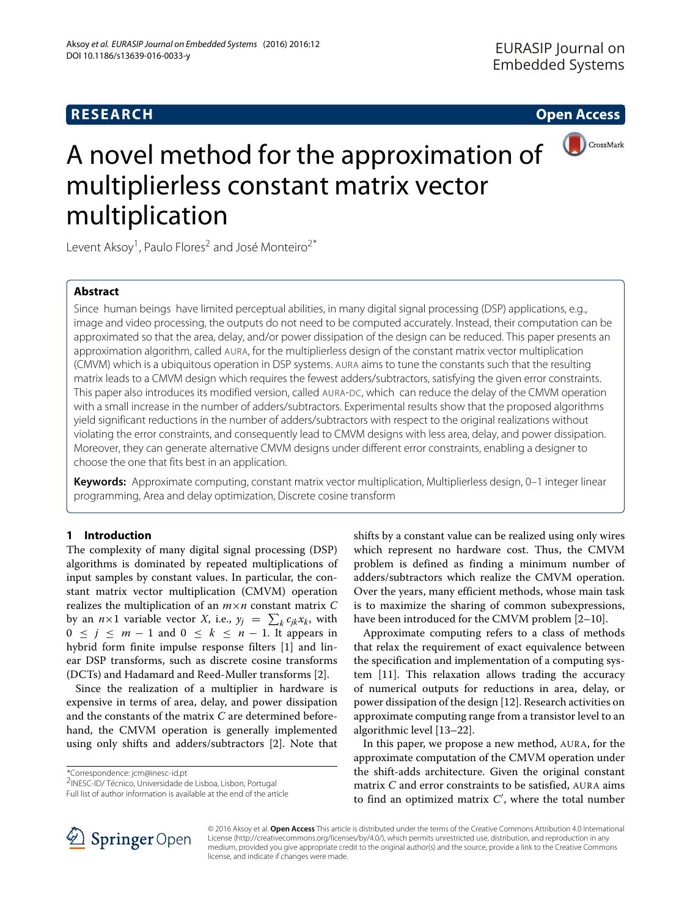## **RESEARCH Open Access**



# A novel method for the approximation of multiplierless constant matrix vector multiplication

Levent Aksoy<sup>1</sup>, Paulo Flores<sup>2</sup> and José Monteiro<sup>2\*</sup>

### **Abstract**

Since human beings have limited perceptual abilities, in many digital signal processing (DSP) applications, e.g., image and video processing, the outputs do not need to be computed accurately. Instead, their computation can be approximated so that the area, delay, and/or power dissipation of the design can be reduced. This paper presents an approximation algorithm, called AURA, for the multiplierless design of the constant matrix vector multiplication (CMVM) which is a ubiquitous operation in DSP systems. AURA aims to tune the constants such that the resulting matrix leads to a CMVM design which requires the fewest adders/subtractors, satisfying the given error constraints. This paper also introduces its modified version, called AURA-DC, which can reduce the delay of the CMVM operation with a small increase in the number of adders/subtractors. Experimental results show that the proposed algorithms yield significant reductions in the number of adders/subtractors with respect to the original realizations without violating the error constraints, and consequently lead to CMVM designs with less area, delay, and power dissipation. Moreover, they can generate alternative CMVM designs under different error constraints, enabling a designer to choose the one that fits best in an application.

**Keywords:** Approximate computing, constant matrix vector multiplication, Multiplierless design, 0–1 integer linear programming, Area and delay optimization, Discrete cosine transform

#### **1 Introduction**

The complexity of many digital signal processing (DSP) algorithms is dominated by repeated multiplications of input samples by constant values. In particular, the constant matrix vector multiplication (CMVM) operation realizes the multiplication of an *m*×*n* constant matrix *C* by an  $n \times 1$  variable vector *X*, i.e.,  $y_j = \sum_k c_{jk} x_k$ , with  $0 \le j \le m - 1$  and  $0 \le k \le n - 1$ . It appears in hybrid form finite impulse response filters [\[1\]](#page-10-0) and linear DSP transforms, such as discrete cosine transforms (DCTs) and Hadamard and Reed-Muller transforms [\[2\]](#page-10-1).

Since the realization of a multiplier in hardware is expensive in terms of area, delay, and power dissipation and the constants of the matrix *C* are determined beforehand, the CMVM operation is generally implemented using only shifts and adders/subtractors [\[2\]](#page-10-1). Note that

\*Correspondence: [jcm@inesc-id.pt](mailto: jcm@inesc-id.pt)

shifts by a constant value can be realized using only wires which represent no hardware cost. Thus, the CMVM problem is defined as finding a minimum number of adders/subtractors which realize the CMVM operation. Over the years, many efficient methods, whose main task is to maximize the sharing of common subexpressions, have been introduced for the CMVM problem [\[2](#page-10-1)-10].

Approximate computing refers to a class of methods that relax the requirement of exact equivalence between the specification and implementation of a computing system [\[11\]](#page-10-3). This relaxation allows trading the accuracy of numerical outputs for reductions in area, delay, or power dissipation of the design [\[12\]](#page-10-4). Research activities on approximate computing range from a transistor level to an algorithmic level [\[13](#page-10-5)[–22\]](#page-10-6).

In this paper, we propose a new method, AURA, for the approximate computation of the CMVM operation under the shift-adds architecture. Given the original constant matrix *C* and error constraints to be satisfied, AURA aims to find an optimized matrix *C* , where the total number



© 2016 Aksoy et al. **Open Access** This article is distributed under the terms of the Creative Commons Attribution 4.0 International License [\(http://creativecommons.org/licenses/by/4.0/\)](http://creativecommons.org/licenses/by/4.0/), which permits unrestricted use, distribution, and reproduction in any medium, provided you give appropriate credit to the original author(s) and the source, provide a link to the Creative Commons license, and indicate if changes were made.

<sup>2</sup>INESC-ID/ Técnico, Universidade de Lisboa, Lisbon, Portugal

Full list of author information is available at the end of the article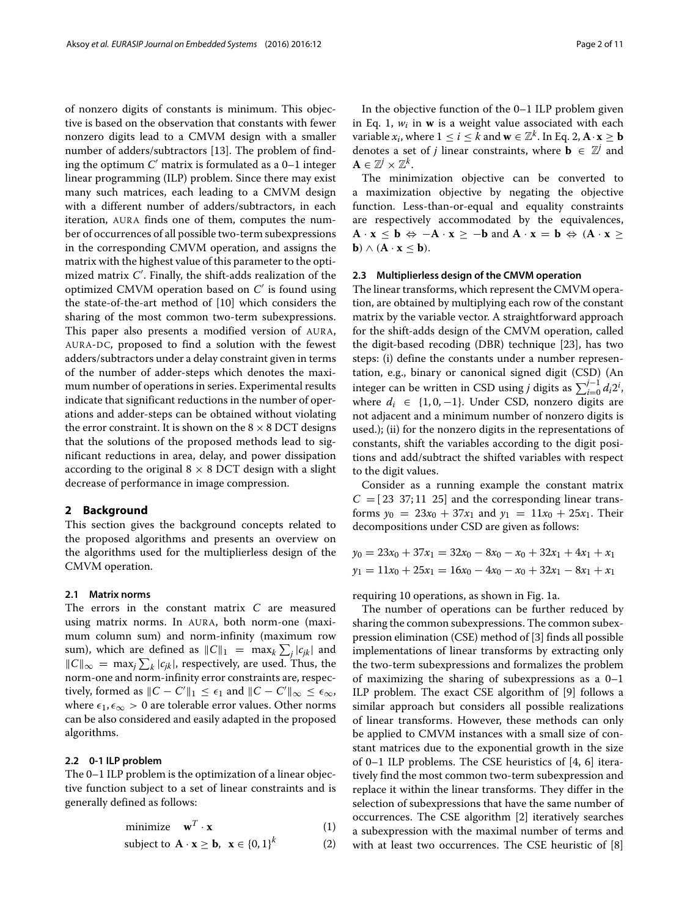of nonzero digits of constants is minimum. This objective is based on the observation that constants with fewer nonzero digits lead to a CMVM design with a smaller number of adders/subtractors [\[13\]](#page-10-5). The problem of finding the optimum  $C'$  matrix is formulated as a  $0-1$  integer linear programming (ILP) problem. Since there may exist many such matrices, each leading to a CMVM design with a different number of adders/subtractors, in each iteration, AURA finds one of them, computes the number of occurrences of all possible two-term subexpressions in the corresponding CMVM operation, and assigns the matrix with the highest value of this parameter to the optimized matrix *C* . Finally, the shift-adds realization of the optimized CMVM operation based on *C* is found using the state-of-the-art method of [\[10\]](#page-10-2) which considers the sharing of the most common two-term subexpressions. This paper also presents a modified version of AURA, AURA-DC, proposed to find a solution with the fewest adders/subtractors under a delay constraint given in terms of the number of adder-steps which denotes the maximum number of operations in series. Experimental results indicate that significant reductions in the number of operations and adder-steps can be obtained without violating the error constraint. It is shown on the  $8 \times 8$  DCT designs that the solutions of the proposed methods lead to significant reductions in area, delay, and power dissipation according to the original  $8 \times 8$  DCT design with a slight decrease of performance in image compression.

#### **2 Background**

This section gives the background concepts related to the proposed algorithms and presents an overview on the algorithms used for the multiplierless design of the CMVM operation.

#### **2.1 Matrix norms**

The errors in the constant matrix *C* are measured using matrix norms. In AURA, both norm-one (maximum column sum) and norm-infinity (maximum row sum), which are defined as  $||C||_1 = \max_k \sum_j |c_{jk}|$  and  $\|C\|_{\infty}$  = max<sub>*j*</sub>  $\sum_{k} |c_{jk}|$ , respectively, are used. Thus, the norm-one and norm-infinity error constraints are, respectively, formed as  $\|C - C'\|_1 \leq \epsilon_1$  and  $\|C - C'\|_{\infty} \leq \epsilon_{\infty}$ , where  $\epsilon_1, \epsilon_\infty > 0$  are tolerable error values. Other norms can be also considered and easily adapted in the proposed algorithms.

#### **2.2 0-1 ILP problem**

The 0–1 ILP problem is the optimization of a linear objective function subject to a set of linear constraints and is generally defined as follows:

<span id="page-1-0"></span>
$$
minimize \t\t\twT · x\t\t\t(1)
$$

subject to 
$$
\mathbf{A} \cdot \mathbf{x} \geq \mathbf{b}, \ \mathbf{x} \in \{0, 1\}^k
$$
 (2)

In the objective function of the 0–1 ILP problem given in Eq. [1,](#page-1-0) *wi* in **w** is a weight value associated with each variable  $x_i$ , where  $1 \leq i \leq k$  and  $\mathbf{w} \in \mathbb{Z}^k$ . In Eq. [2,](#page-1-0)  $\mathbf{A} \cdot \mathbf{x} \geq \mathbf{b}$ denotes a set of *j* linear constraints, where  $\mathbf{b} \in \mathbb{Z}^j$  and  $A \in \mathbb{Z}^j \times \mathbb{Z}^k$ .

The minimization objective can be converted to a maximization objective by negating the objective function. Less-than-or-equal and equality constraints are respectively accommodated by the equivalences, **A** · **x**  $\leq$  **b**  $\Leftrightarrow$   $-A \cdot$  **x**  $\geq$  −**b** and  $A \cdot$  **x** = **b**  $\Leftrightarrow$  ( $A \cdot$ **x**  $\geq$ **b**) ∧ (**A**  $\cdot$  **x**  $\leq$  **b**).

#### **2.3 Multiplierless design of the CMVM operation**

The linear transforms, which represent the CMVM operation, are obtained by multiplying each row of the constant matrix by the variable vector. A straightforward approach for the shift-adds design of the CMVM operation, called the digit-based recoding (DBR) technique [\[23\]](#page-10-7), has two steps: (i) define the constants under a number representation, e.g., binary or canonical signed digit (CSD) (An integer can be written in CSD using *j* digits as  $\sum_{i=0}^{j-1} d_i 2^i$ , where  $d_i \in \{1, 0, -1\}$ . Under CSD, nonzero digits are not adjacent and a minimum number of nonzero digits is used.); (ii) for the nonzero digits in the representations of constants, shift the variables according to the digit positions and add/subtract the shifted variables with respect to the digit values.

Consider as a running example the constant matrix  $C = [23 \ 37; 11 \ 25]$  and the corresponding linear transforms  $y_0 = 23x_0 + 37x_1$  and  $y_1 = 11x_0 + 25x_1$ . Their decompositions under CSD are given as follows:

$$
y_0 = 23x_0 + 37x_1 = 32x_0 - 8x_0 - x_0 + 32x_1 + 4x_1 + x_1
$$
  

$$
y_1 = 11x_0 + 25x_1 = 16x_0 - 4x_0 - x_0 + 32x_1 - 8x_1 + x_1
$$

requiring 10 operations, as shown in Fig. [1](#page-2-0)[a.](#page-2-1)

The number of operations can be further reduced by sharing the common subexpressions. The common subexpression elimination (CSE) method of [\[3\]](#page-10-8) finds all possible implementations of linear transforms by extracting only the two-term subexpressions and formalizes the problem of maximizing the sharing of subexpressions as a 0–1 ILP problem. The exact CSE algorithm of [\[9\]](#page-10-9) follows a similar approach but considers all possible realizations of linear transforms. However, these methods can only be applied to CMVM instances with a small size of constant matrices due to the exponential growth in the size of 0–1 ILP problems. The CSE heuristics of [\[4,](#page-10-10) [6\]](#page-10-11) iteratively find the most common two-term subexpression and replace it within the linear transforms. They differ in the selection of subexpressions that have the same number of occurrences. The CSE algorithm [\[2\]](#page-10-1) iteratively searches a subexpression with the maximal number of terms and with at least two occurrences. The CSE heuristic of [\[8\]](#page-10-12)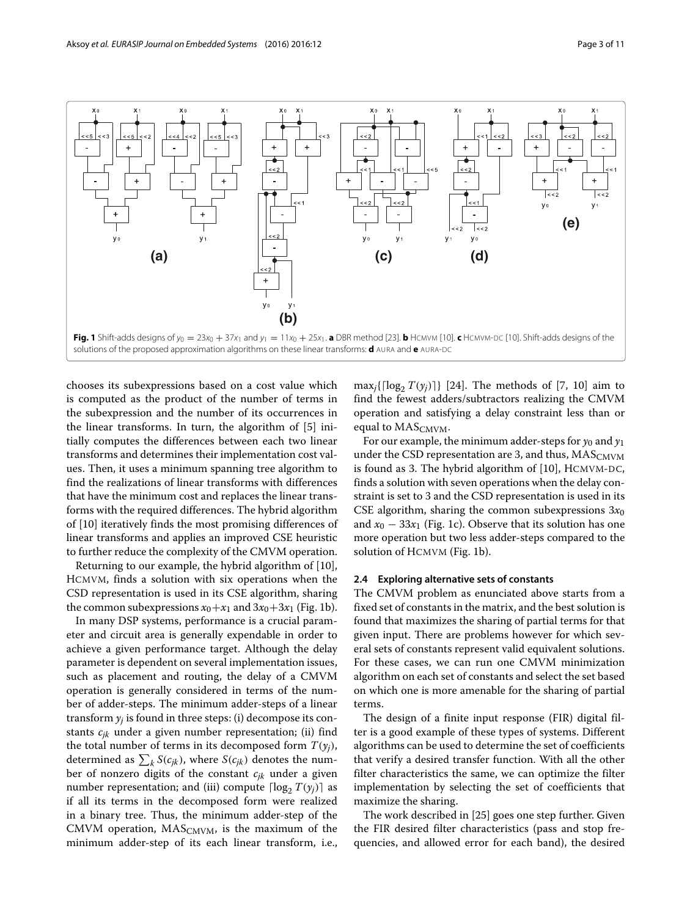

<span id="page-2-1"></span><span id="page-2-0"></span>chooses its subexpressions based on a cost value which is computed as the product of the number of terms in the subexpression and the number of its occurrences in the linear transforms. In turn, the algorithm of [\[5\]](#page-10-13) initially computes the differences between each two linear transforms and determines their implementation cost values. Then, it uses a minimum spanning tree algorithm to find the realizations of linear transforms with differences that have the minimum cost and replaces the linear transforms with the required differences. The hybrid algorithm of [\[10\]](#page-10-2) iteratively finds the most promising differences of linear transforms and applies an improved CSE heuristic to further reduce the complexity of the CMVM operation.

Returning to our example, the hybrid algorithm of [\[10\]](#page-10-2), HCMVM, finds a solution with six operations when the CSD representation is used in its CSE algorithm, sharing the common subexpressions  $x_0+x_1$  and  $3x_0+3x_1$  (Fig. [1](#page-2-0)[b\)](#page-2-1).

In many DSP systems, performance is a crucial parameter and circuit area is generally expendable in order to achieve a given performance target. Although the delay parameter is dependent on several implementation issues, such as placement and routing, the delay of a CMVM operation is generally considered in terms of the number of adder-steps. The minimum adder-steps of a linear transform  $y_i$  is found in three steps: (i) decompose its constants *cjk* under a given number representation; (ii) find the total number of terms in its decomposed form  $T(y_i)$ , determined as  $\sum_{k} S(c_{jk})$ , where  $S(c_{jk})$  denotes the number of nonzero digits of the constant *cjk* under a given number representation; and (iii) compute  $\lceil \log_2 T(y_j) \rceil$  as if all its terms in the decomposed form were realized in a binary tree. Thus, the minimum adder-step of the CMVM operation,  $MAS_{CMVM}$ , is the maximum of the minimum adder-step of its each linear transform, i.e.,

 $\max_j\{\lceil \log_2 T(y_j)\rceil\}$  [\[24\]](#page-10-14). The methods of [\[7,](#page-10-15) [10\]](#page-10-2) aim to find the fewest adders/subtractors realizing the CMVM operation and satisfying a delay constraint less than or equal to  $MAS_{CMVM}$ .

For our example, the minimum adder-steps for  $y_0$  and  $y_1$ under the CSD representation are 3, and thus,  $MAS_{CMVM}$ is found as 3. The hybrid algorithm of [\[10\]](#page-10-2), HCMVM-DC, finds a solution with seven operations when the delay constraint is set to 3 and the CSD representation is used in its CSE algorithm, sharing the common subexpressions  $3x_0$ and  $x_0 - 33x_1$  (Fig. [1](#page-2-0)[c\)](#page-2-1). Observe that its solution has one more operation but two less adder-steps compared to the solution of HCMVM (Fig. [1](#page-2-0)[b\)](#page-2-1).

#### **2.4 Exploring alternative sets of constants**

The CMVM problem as enunciated above starts from a fixed set of constants in the matrix, and the best solution is found that maximizes the sharing of partial terms for that given input. There are problems however for which several sets of constants represent valid equivalent solutions. For these cases, we can run one CMVM minimization algorithm on each set of constants and select the set based on which one is more amenable for the sharing of partial terms.

The design of a finite input response (FIR) digital filter is a good example of these types of systems. Different algorithms can be used to determine the set of coefficients that verify a desired transfer function. With all the other filter characteristics the same, we can optimize the filter implementation by selecting the set of coefficients that maximize the sharing.

The work described in [\[25\]](#page-10-16) goes one step further. Given the FIR desired filter characteristics (pass and stop frequencies, and allowed error for each band), the desired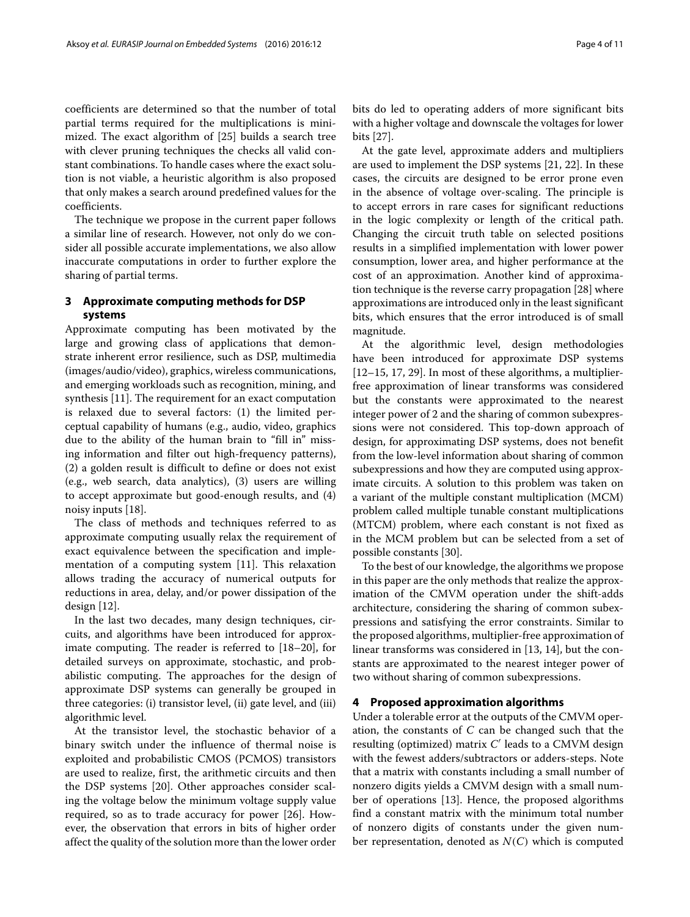coefficients are determined so that the number of total partial terms required for the multiplications is minimized. The exact algorithm of [\[25\]](#page-10-16) builds a search tree with clever pruning techniques the checks all valid constant combinations. To handle cases where the exact solution is not viable, a heuristic algorithm is also proposed that only makes a search around predefined values for the coefficients.

The technique we propose in the current paper follows a similar line of research. However, not only do we consider all possible accurate implementations, we also allow inaccurate computations in order to further explore the sharing of partial terms.

#### **3 Approximate computing methods for DSP systems**

Approximate computing has been motivated by the large and growing class of applications that demonstrate inherent error resilience, such as DSP, multimedia (images/audio/video), graphics, wireless communications, and emerging workloads such as recognition, mining, and synthesis [\[11\]](#page-10-3). The requirement for an exact computation is relaxed due to several factors: (1) the limited perceptual capability of humans (e.g., audio, video, graphics due to the ability of the human brain to "fill in" missing information and filter out high-frequency patterns), (2) a golden result is difficult to define or does not exist (e.g., web search, data analytics), (3) users are willing to accept approximate but good-enough results, and (4) noisy inputs [\[18\]](#page-10-17).

The class of methods and techniques referred to as approximate computing usually relax the requirement of exact equivalence between the specification and implementation of a computing system [\[11\]](#page-10-3). This relaxation allows trading the accuracy of numerical outputs for reductions in area, delay, and/or power dissipation of the design [\[12\]](#page-10-4).

In the last two decades, many design techniques, circuits, and algorithms have been introduced for approximate computing. The reader is referred to [\[18](#page-10-17)[–20\]](#page-10-18), for detailed surveys on approximate, stochastic, and probabilistic computing. The approaches for the design of approximate DSP systems can generally be grouped in three categories: (i) transistor level, (ii) gate level, and (iii) algorithmic level.

At the transistor level, the stochastic behavior of a binary switch under the influence of thermal noise is exploited and probabilistic CMOS (PCMOS) transistors are used to realize, first, the arithmetic circuits and then the DSP systems [\[20\]](#page-10-18). Other approaches consider scaling the voltage below the minimum voltage supply value required, so as to trade accuracy for power [\[26\]](#page-10-19). However, the observation that errors in bits of higher order affect the quality of the solution more than the lower order

bits do led to operating adders of more significant bits with a higher voltage and downscale the voltages for lower bits [\[27\]](#page-10-20).

At the gate level, approximate adders and multipliers are used to implement the DSP systems [\[21,](#page-10-21) [22\]](#page-10-6). In these cases, the circuits are designed to be error prone even in the absence of voltage over-scaling. The principle is to accept errors in rare cases for significant reductions in the logic complexity or length of the critical path. Changing the circuit truth table on selected positions results in a simplified implementation with lower power consumption, lower area, and higher performance at the cost of an approximation. Another kind of approximation technique is the reverse carry propagation [\[28\]](#page-10-22) where approximations are introduced only in the least significant bits, which ensures that the error introduced is of small magnitude.

At the algorithmic level, design methodologies have been introduced for approximate DSP systems [\[12](#page-10-4)[–15,](#page-10-23) [17,](#page-10-24) [29\]](#page-10-25). In most of these algorithms, a multiplierfree approximation of linear transforms was considered but the constants were approximated to the nearest integer power of 2 and the sharing of common subexpressions were not considered. This top-down approach of design, for approximating DSP systems, does not benefit from the low-level information about sharing of common subexpressions and how they are computed using approximate circuits. A solution to this problem was taken on a variant of the multiple constant multiplication (MCM) problem called multiple tunable constant multiplications (MTCM) problem, where each constant is not fixed as in the MCM problem but can be selected from a set of possible constants [\[30\]](#page-10-26).

To the best of our knowledge, the algorithms we propose in this paper are the only methods that realize the approximation of the CMVM operation under the shift-adds architecture, considering the sharing of common subexpressions and satisfying the error constraints. Similar to the proposed algorithms, multiplier-free approximation of linear transforms was considered in [\[13,](#page-10-5) [14\]](#page-10-27), but the constants are approximated to the nearest integer power of two without sharing of common subexpressions.

#### **4 Proposed approximation algorithms**

Under a tolerable error at the outputs of the CMVM operation, the constants of *C* can be changed such that the resulting (optimized) matrix *C'* leads to a CMVM design with the fewest adders/subtractors or adders-steps. Note that a matrix with constants including a small number of nonzero digits yields a CMVM design with a small number of operations [\[13\]](#page-10-5). Hence, the proposed algorithms find a constant matrix with the minimum total number of nonzero digits of constants under the given number representation, denoted as *N*(*C*) which is computed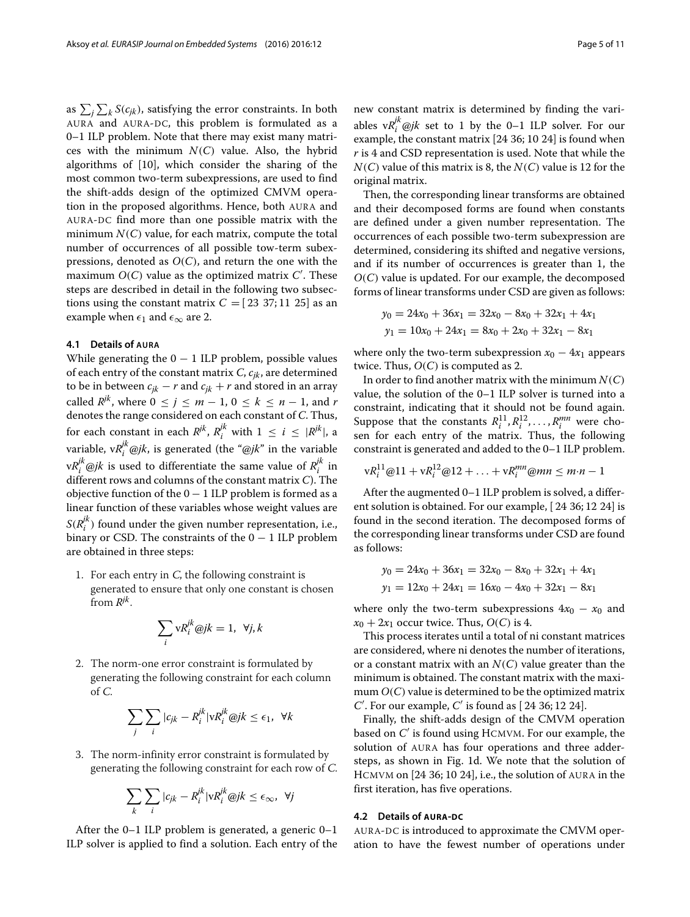as  $\sum_j \sum_k S(c_{jk})$ , satisfying the error constraints. In both AURA and AURA-DC, this problem is formulated as a 0–1 ILP problem. Note that there may exist many matrices with the minimum  $N(C)$  value. Also, the hybrid algorithms of [\[10\]](#page-10-2), which consider the sharing of the most common two-term subexpressions, are used to find the shift-adds design of the optimized CMVM operation in the proposed algorithms. Hence, both AURA and AURA-DC find more than one possible matrix with the minimum  $N(C)$  value, for each matrix, compute the total number of occurrences of all possible tow-term subexpressions, denoted as  $O(C)$ , and return the one with the maximum *O*(*C*) value as the optimized matrix *C* . These steps are described in detail in the following two subsections using the constant matrix  $C = [23 \ 37; 11 \ 25]$  as an example when  $\epsilon_1$  and  $\epsilon_\infty$  are 2.

#### **4.1 Details of AURA**

While generating the  $0 - 1$  ILP problem, possible values of each entry of the constant matrix *C*, *cjk*, are determined to be in between  $c_{jk} - r$  and  $c_{jk} + r$  and stored in an array called  $R^{jk}$ , where  $0 \le j \le m - 1$ ,  $0 \le k \le n - 1$ , and *r* denotes the range considered on each constant of *C*. Thus, for each constant in each  $R^{jk}$ ,  $R_i^{jk}$  with  $1 \leq i \leq |R^{jk}|$ , a variable, v $R_i^{jk}$ @*jk*, is generated (the "@*jk*" in the variable  $vR_i^{jk}$  @*jk* is used to differentiate the same value of  $R_i^{jk}$  in different rows and columns of the constant matrix *C*). The objective function of the  $0 - 1$  ILP problem is formed as a linear function of these variables whose weight values are  $S(R_i^{jk})$  found under the given number representation, i.e., binary or CSD. The constraints of the  $0 - 1$  ILP problem are obtained in three steps:

1. For each entry in  $C$ , the following constraint is generated to ensure that only one constant is chosen from *Rjk*.

 *i* v*Rjk <sup>i</sup>* @*jk* = 1, ∀*j*, *k*

2. The norm-one error constraint is formulated by generating the following constraint for each column of <sup>C</sup>.

$$
\sum_{j} \sum_{i} |c_{jk} - R_i^{jk}| \nabla R_i^{jk} \otimes jk \le \epsilon_1, \ \forall k
$$

3. The norm-infinity error constraint is formulated by generating the following constraint for each row of <sup>C</sup>.

$$
\sum_{k}\sum_{i}|c_{jk}-R_{i}^{jk}|vR_{i}^{jk}\otimes jk\leq\epsilon_{\infty},\ \forall j
$$

After the 0–1 ILP problem is generated, a generic 0–1 ILP solver is applied to find a solution. Each entry of the new constant matrix is determined by finding the variables  $vR_i^{jk}$ @*jk* set to 1 by the 0–1 ILP solver. For our example, the constant matrix [24 36; 10 24] is found when *r* is 4 and CSD representation is used. Note that while the *N*(*C*) value of this matrix is 8, the *N*(*C*) value is 12 for the original matrix.

Then, the corresponding linear transforms are obtained and their decomposed forms are found when constants are defined under a given number representation. The occurrences of each possible two-term subexpression are determined, considering its shifted and negative versions, and if its number of occurrences is greater than 1, the *O*(*C*) value is updated. For our example, the decomposed forms of linear transforms under CSD are given as follows:

$$
y_0 = 24x_0 + 36x_1 = 32x_0 - 8x_0 + 32x_1 + 4x_1
$$
  

$$
y_1 = 10x_0 + 24x_1 = 8x_0 + 2x_0 + 32x_1 - 8x_1
$$

where only the two-term subexpression  $x_0 - 4x_1$  appears twice. Thus,  $O(C)$  is computed as 2.

In order to find another matrix with the minimum  $N(C)$ value, the solution of the 0–1 ILP solver is turned into a constraint, indicating that it should not be found again. Suppose that the constants  $R_i^{11}, R_i^{12}, \ldots, R_i^{mn}$  were chosen for each entry of the matrix. Thus, the following constraint is generated and added to the 0–1 ILP problem.

$$
vR_i^{11} @ 11 + vR_i^{12} @ 12 + \ldots + vR_i^{mn} @ mn \leq m \cdot n - 1
$$

After the augmented 0–1 ILP problem is solved, a different solution is obtained. For our example, [ 24 36; 12 24] is found in the second iteration. The decomposed forms of the corresponding linear transforms under CSD are found as follows:

$$
y_0 = 24x_0 + 36x_1 = 32x_0 - 8x_0 + 32x_1 + 4x_1
$$
  

$$
y_1 = 12x_0 + 24x_1 = 16x_0 - 4x_0 + 32x_1 - 8x_1
$$

where only the two-term subexpressions  $4x_0 - x_0$  and  $x_0 + 2x_1$  occur twice. Thus,  $O(C)$  is 4.

This process iterates until a total of ni constant matrices are considered, where ni denotes the number of iterations, or a constant matrix with an *N*(*C*) value greater than the minimum is obtained. The constant matrix with the maximum *O*(*C*) value is determined to be the optimized matrix *C* . For our example, *C* is found as [ 24 36; 12 24].

Finally, the shift-adds design of the CMVM operation based on *C* is found using HCMVM. For our example, the solution of AURA has four operations and three addersteps, as shown in Fig. [1](#page-2-0)[d.](#page-2-1) We note that the solution of HCMVM on [24 36; 10 24], i.e., the solution of AURA in the first iteration, has five operations.

#### **4.2 Details of AURA-DC**

AURA-DC is introduced to approximate the CMVM operation to have the fewest number of operations under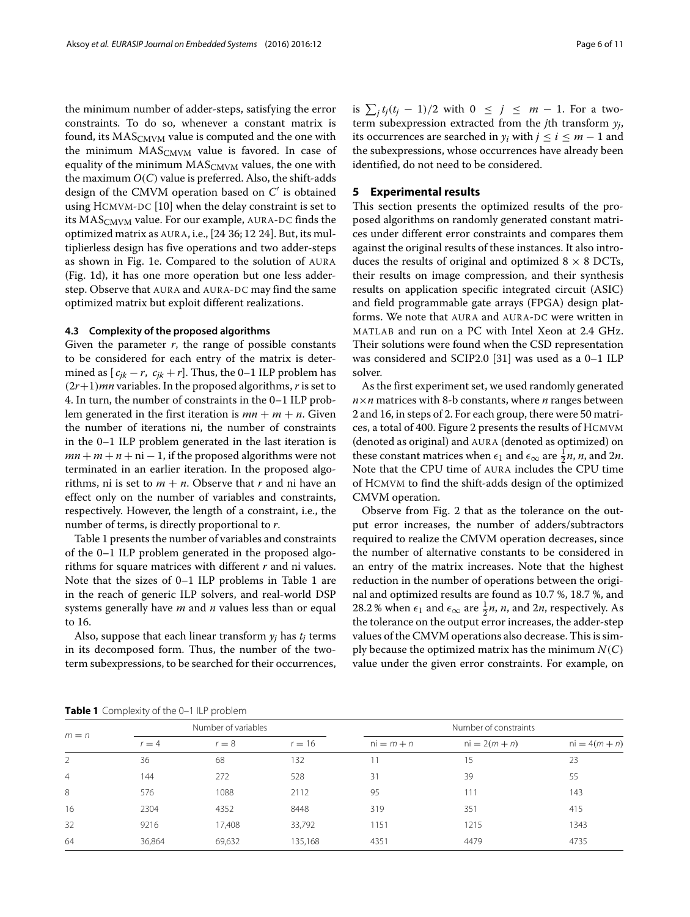the minimum number of adder-steps, satisfying the error constraints. To do so, whenever a constant matrix is found, its MAS<sub>CMVM</sub> value is computed and the one with the minimum  $MAS_{CMVM}$  value is favored. In case of equality of the minimum  $MAS_{CMVM}$  values, the one with the maximum  $O(C)$  value is preferred. Also, the shift-adds design of the CMVM operation based on *C* is obtained using HCMVM-DC [\[10\]](#page-10-2) when the delay constraint is set to its MAS<sub>CMVM</sub> value. For our example, AURA-DC finds the optimized matrix as AURA, i.e., [24 36; 12 24]. But, its multiplierless design has five operations and two adder-steps as shown in Fig. [1](#page-2-0)[e.](#page-2-1) Compared to the solution of AURA (Fig. [1](#page-2-0)[d\)](#page-2-1), it has one more operation but one less adderstep. Observe that AURA and AURA-DC may find the same optimized matrix but exploit different realizations.

#### **4.3 Complexity of the proposed algorithms**

Given the parameter *r*, the range of possible constants to be considered for each entry of the matrix is determined as  $[c_{jk} - r, c_{jk} + r]$ . Thus, the 0–1 ILP problem has (2*r*+1)*mn* variables. In the proposed algorithms,*r* is set to 4. In turn, the number of constraints in the 0–1 ILP problem generated in the first iteration is  $mn + m + n$ . Given the number of iterations ni, the number of constraints in the 0–1 ILP problem generated in the last iteration is  $mn + m + n + ni - 1$ , if the proposed algorithms were not terminated in an earlier iteration. In the proposed algorithms, ni is set to  $m + n$ . Observe that *r* and ni have an effect only on the number of variables and constraints, respectively. However, the length of a constraint, i.e., the number of terms, is directly proportional to *r*.

Table [1](#page-5-0) presents the number of variables and constraints of the 0–1 ILP problem generated in the proposed algorithms for square matrices with different *r* and ni values. Note that the sizes of 0–1 ILP problems in Table [1](#page-5-0) are in the reach of generic ILP solvers, and real-world DSP systems generally have *m* and *n* values less than or equal to 16.

Also, suppose that each linear transform  $y_j$  has  $t_j$  terms in its decomposed form. Thus, the number of the twoterm subexpressions, to be searched for their occurrences,

is  $\sum_j t_j(t_j-1)/2$  with  $0 \leq j \leq m-1$ . For a twoterm subexpression extracted from the *j*th transform *yj*, its occurrences are searched in  $y_i$  with  $j \le i \le m - 1$  and the subexpressions, whose occurrences have already been identified, do not need to be considered.

#### **5 Experimental results**

This section presents the optimized results of the proposed algorithms on randomly generated constant matrices under different error constraints and compares them against the original results of these instances. It also introduces the results of original and optimized  $8 \times 8$  DCTs, their results on image compression, and their synthesis results on application specific integrated circuit (ASIC) and field programmable gate arrays (FPGA) design platforms. We note that AURA and AURA-DC were written in MATLAB and run on a PC with Intel Xeon at 2.4 GHz. Their solutions were found when the CSD representation was considered and SCIP2.0 [\[31\]](#page-10-28) was used as a 0–1 ILP solver.

As the first experiment set, we used randomly generated *n*×*n* matrices with 8-b constants, where *n* ranges between 2 and 16, in steps of 2. For each group, there were 50 matrices, a total of 400. Figure [2](#page-6-0) presents the results of HCMVM (denoted as original) and AURA (denoted as optimized) on these constant matrices when  $\epsilon_1$  and  $\epsilon_\infty$  are  $\frac{1}{2}n$ , *n*, and 2*n*. Note that the CPU time of AURA includes the CPU time of HCMVM to find the shift-adds design of the optimized CMVM operation.

Observe from Fig. [2](#page-6-0) that as the tolerance on the output error increases, the number of adders/subtractors required to realize the CMVM operation decreases, since the number of alternative constants to be considered in an entry of the matrix increases. Note that the highest reduction in the number of operations between the original and optimized results are found as 10.7 %, 18.7 %, and 28.2 % when  $\epsilon_1$  and  $\epsilon_\infty$  are  $\frac{1}{2}n$ ,  $n$ , and 2*n*, respectively. As the tolerance on the output error increases, the adder-step values of the CMVM operations also decrease. This is simply because the optimized matrix has the minimum  $N(C)$ value under the given error constraints. For example, on

**Table 1** Complexity of the 0-1 ILP problem

<span id="page-5-0"></span>

| $m = n$        | Number of variables |         |          | Number of constraints |                 |                 |  |
|----------------|---------------------|---------|----------|-----------------------|-----------------|-----------------|--|
|                | $r = 4$             | $r = 8$ | $r = 16$ | $ni = m + n$          | $ni = 2(m + n)$ | $ni = 4(m + n)$ |  |
| 2              | 36                  | 68      | 132      |                       | 15              | 23              |  |
| $\overline{4}$ | 144                 | 272     | 528      | 31                    | 39              | 55              |  |
| 8              | 576                 | 1088    | 2112     | 95                    | 111             | 143             |  |
| 16             | 2304                | 4352    | 8448     | 319                   | 351             | 415             |  |
| 32             | 9216                | 17,408  | 33,792   | 1151                  | 1215            | 1343            |  |
| 64             | 36,864              | 69,632  | 135,168  | 4351                  | 4479            | 4735            |  |
|                |                     |         |          |                       |                 |                 |  |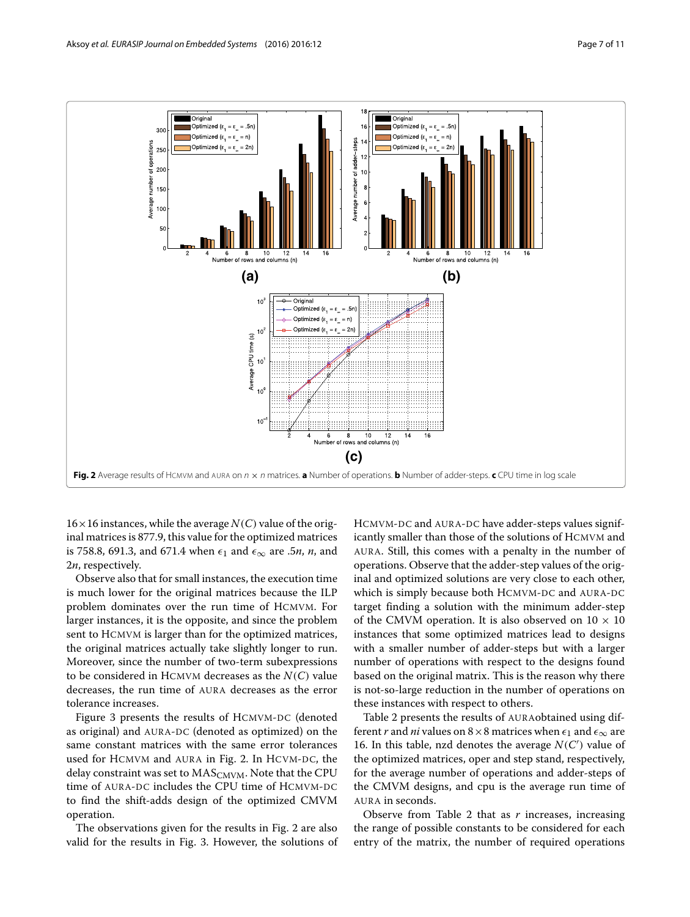

<span id="page-6-0"></span> $16 \times 16$  instances, while the average  $N(C)$  value of the original matrices is 877.9, this value for the optimized matrices is 758.8, 691.3, and 671.4 when  $\epsilon_1$  and  $\epsilon_\infty$  are .5*n*, *n*, and 2*n*, respectively.

Observe also that for small instances, the execution time is much lower for the original matrices because the ILP problem dominates over the run time of HCMVM. For larger instances, it is the opposite, and since the problem sent to HCMVM is larger than for the optimized matrices, the original matrices actually take slightly longer to run. Moreover, since the number of two-term subexpressions to be considered in HCMVM decreases as the *N*(*C*) value decreases, the run time of AURA decreases as the error tolerance increases.

Figure [3](#page-7-0) presents the results of HCMVM-DC (denoted as original) and AURA-DC (denoted as optimized) on the same constant matrices with the same error tolerances used for HCMVM and AURA in Fig. [2.](#page-6-0) In HCVM-DC, the delay constraint was set to  $MAS_{CMVM}$ . Note that the CPU time of AURA-DC includes the CPU time of HCMVM-DC to find the shift-adds design of the optimized CMVM operation.

The observations given for the results in Fig. [2](#page-6-0) are also valid for the results in Fig. [3.](#page-7-0) However, the solutions of HCMVM-DC and AURA-DC have adder-steps values significantly smaller than those of the solutions of HCMVM and AURA. Still, this comes with a penalty in the number of operations. Observe that the adder-step values of the original and optimized solutions are very close to each other, which is simply because both HCMVM-DC and AURA-DC target finding a solution with the minimum adder-step of the CMVM operation. It is also observed on  $10 \times 10$ instances that some optimized matrices lead to designs with a smaller number of adder-steps but with a larger number of operations with respect to the designs found based on the original matrix. This is the reason why there is not-so-large reduction in the number of operations on these instances with respect to others.

Table [2](#page-7-1) presents the results of AURAobtained using different *r* and *ni* values on 8  $\times$  8 matrices when  $\epsilon_1$  and  $\epsilon_\infty$  are 16. In this table, nzd denotes the average  $N(C')$  value of the optimized matrices, oper and step stand, respectively, for the average number of operations and adder-steps of the CMVM designs, and cpu is the average run time of AURA in seconds.

Observe from Table [2](#page-7-1) that as *r* increases, increasing the range of possible constants to be considered for each entry of the matrix, the number of required operations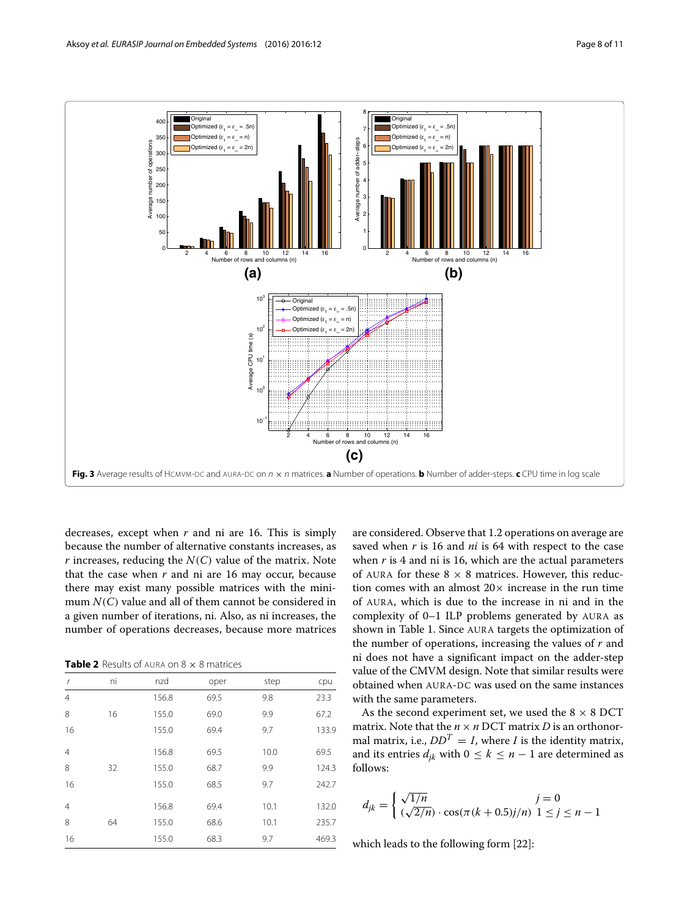

<span id="page-7-0"></span>decreases, except when *r* and ni are 16. This is simply because the number of alternative constants increases, as  $r$  increases, reducing the  $N(C)$  value of the matrix. Note that the case when  $r$  and ni are 16 may occur, because there may exist many possible matrices with the minimum *N*(*C*) value and all of them cannot be considered in a given number of iterations, ni. Also, as ni increases, the number of operations decreases, because more matrices

**Table 2** Results of AURA on 8 x 8 matrices

<span id="page-7-1"></span>

| r              | ni | nzd   | oper | step | cpu   |
|----------------|----|-------|------|------|-------|
| $\overline{4}$ |    | 156.8 | 69.5 | 9.8  | 23.3  |
| 8              | 16 | 155.0 | 69.0 | 9.9  | 67.2  |
| 16             |    | 155.0 | 69.4 | 9.7  | 133.9 |
| $\overline{4}$ |    | 156.8 | 69.5 | 10.0 | 69.5  |
| 8              | 32 | 155.0 | 68.7 | 9.9  | 124.3 |
| 16             |    | 155.0 | 68.5 | 9.7  | 242.7 |
| $\overline{4}$ |    | 156.8 | 69.4 | 10.1 | 132.0 |
| 8              | 64 | 155.0 | 68.6 | 10.1 | 235.7 |
| 16             |    | 155.0 | 68.3 | 9.7  | 469.3 |
|                |    |       |      |      |       |

are considered. Observe that 1.2 operations on average are saved when *r* is 16 and *ni* is 64 with respect to the case when *r* is 4 and ni is 16, which are the actual parameters of AURA for these  $8 \times 8$  matrices. However, this reduction comes with an almost  $20 \times$  increase in the run time of AURA, which is due to the increase in ni and in the complexity of 0–1 ILP problems generated by AURA as shown in Table [1.](#page-5-0) Since AURA targets the optimization of the number of operations, increasing the values of *r* and ni does not have a significant impact on the adder-step value of the CMVM design. Note that similar results were obtained when AURA-DC was used on the same instances with the same parameters.

As the second experiment set, we used the 8  $\times$  8 DCT matrix. Note that the  $n \times n$  DCT matrix *D* is an orthonormatrix, i.e.,  $DD^T = I$ , where *I* is the identity matrix, and its entries  $d_{jk}$  with  $0 \le k \le n - 1$  are determined as follows:

$$
d_{jk} = \begin{cases} \sqrt{1/n} & j = 0\\ (\sqrt{2/n}) \cdot \cos(\pi (k + 0.5)j/n) & 1 \le j \le n - 1 \end{cases}
$$

which leads to the following form [\[22\]](#page-10-6):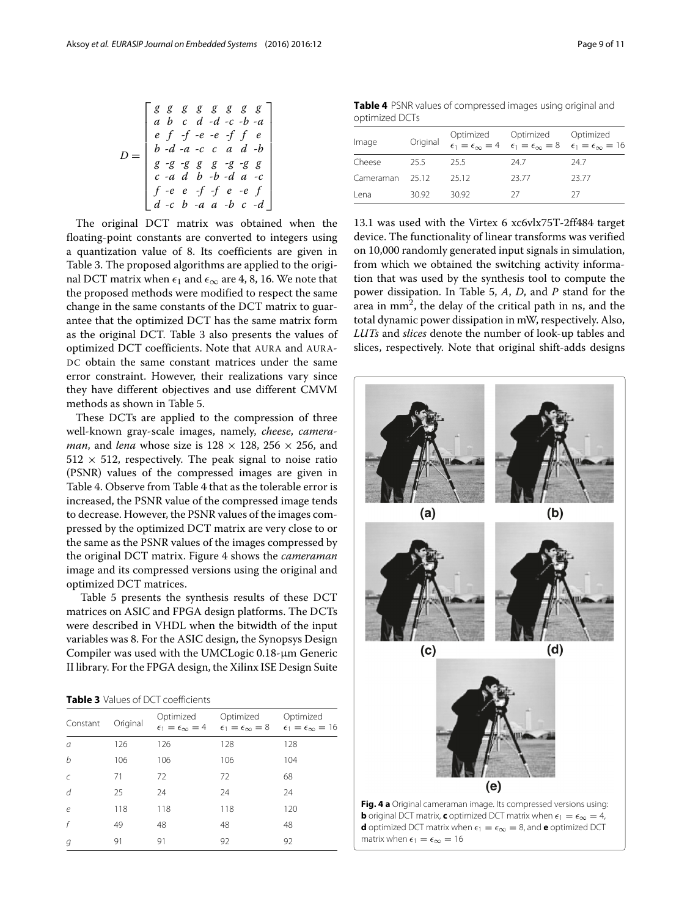$$
D = \begin{bmatrix} g & g & g & g & g & g & g & g \\ a & b & c & d & -d & -c & -b & -a \\ e & f & -f & -e & -e & -f & f & e \\ b & -d & -a & -c & c & a & d & -b \\ g & -g & -g & g & g & -g & -g & g \\ c & -a & d & b & -b & -d & a & -c \\ f & -e & e & -f & -f & e & -e & f \\ d & -c & b & -a & a & -b & c & -d \end{bmatrix}
$$

The original DCT matrix was obtained when the floating-point constants are converted to integers using a quantization value of 8. Its coefficients are given in Table [3.](#page-8-0) The proposed algorithms are applied to the original DCT matrix when  $\epsilon_1$  and  $\epsilon_\infty$  are 4, 8, 16. We note that the proposed methods were modified to respect the same change in the same constants of the DCT matrix to guarantee that the optimized DCT has the same matrix form as the original DCT. Table [3](#page-8-0) also presents the values of optimized DCT coefficients. Note that AURA and AURA-DC obtain the same constant matrices under the same error constraint. However, their realizations vary since they have different objectives and use different CMVM methods as shown in Table [5.](#page-9-0)

These DCTs are applied to the compression of three well-known gray-scale images, namely, *cheese*, *cameraman*, and *lena* whose size is  $128 \times 128$ ,  $256 \times 256$ , and  $512 \times 512$ , respectively. The peak signal to noise ratio (PSNR) values of the compressed images are given in Table [4.](#page-8-1) Observe from Table [4](#page-8-1) that as the tolerable error is increased, the PSNR value of the compressed image tends to decrease. However, the PSNR values of the images compressed by the optimized DCT matrix are very close to or the same as the PSNR values of the images compressed by the original DCT matrix. Figure [4](#page-8-2) shows the *cameraman* image and its compressed versions using the original and optimized DCT matrices.

Table [5](#page-9-0) presents the synthesis results of these DCT matrices on ASIC and FPGA design platforms. The DCTs were described in VHDL when the bitwidth of the input variables was 8. For the ASIC design, the Synopsys Design Compiler was used with the UMCLogic 0.18-μm Generic II library. For the FPGA design, the Xilinx ISE Design Suite

<span id="page-8-0"></span>

| <b>Table 3</b> Values of DCT coefficients |
|-------------------------------------------|
|-------------------------------------------|

<span id="page-8-2"></span>

| Constant   | Original | Optimized<br>$\epsilon_1 = \epsilon_{\infty} = 4$ | Optimized<br>$\epsilon_1=\epsilon_{\infty}=8$ | Optimized<br>$\epsilon_1 = \epsilon_\infty = 16$ |
|------------|----------|---------------------------------------------------|-----------------------------------------------|--------------------------------------------------|
| a          | 126      | 126                                               | 128                                           | 128                                              |
| b          | 106      | 106                                               | 106                                           | 104                                              |
| $\epsilon$ | 71       | 72                                                | 72                                            | 68                                               |
| d          | 25       | 24                                                | 24                                            | 24                                               |
| $\epsilon$ | 118      | 118                                               | 118                                           | 120                                              |
| f          | 49       | 48                                                | 48                                            | 48                                               |
| g          | 91       | 91                                                | 92                                            | 92                                               |

<span id="page-8-1"></span>**Table 4** PSNR values of compressed images using original and optimized DCTs

| Image           |        |       | Optimized Optimized Optimized<br>Original $\epsilon_1 = \epsilon_\infty = 4$ $\epsilon_1 = \epsilon_\infty = 8$ $\epsilon_1 = \epsilon_\infty = 16$ |       |
|-----------------|--------|-------|-----------------------------------------------------------------------------------------------------------------------------------------------------|-------|
| Cheese          | - 25.5 | 255   | 247                                                                                                                                                 | 247   |
| Cameraman 25.12 |        | 2512  | 23.77                                                                                                                                               | 23.77 |
| Lena            | 30.92  | 30.92 | -27                                                                                                                                                 | 27    |

13.1 was used with the Virtex 6 xc6vlx75T-2ff484 target device. The functionality of linear transforms was verified on 10,000 randomly generated input signals in simulation, from which we obtained the switching activity information that was used by the synthesis tool to compute the power dissipation. In Table [5,](#page-9-0) *A*, *D*, and *P* stand for the area in  $mm<sup>2</sup>$ , the delay of the critical path in ns, and the total dynamic power dissipation in mW, respectively. Also, *LUTs* and *slices* denote the number of look-up tables and slices, respectively. Note that original shift-adds designs

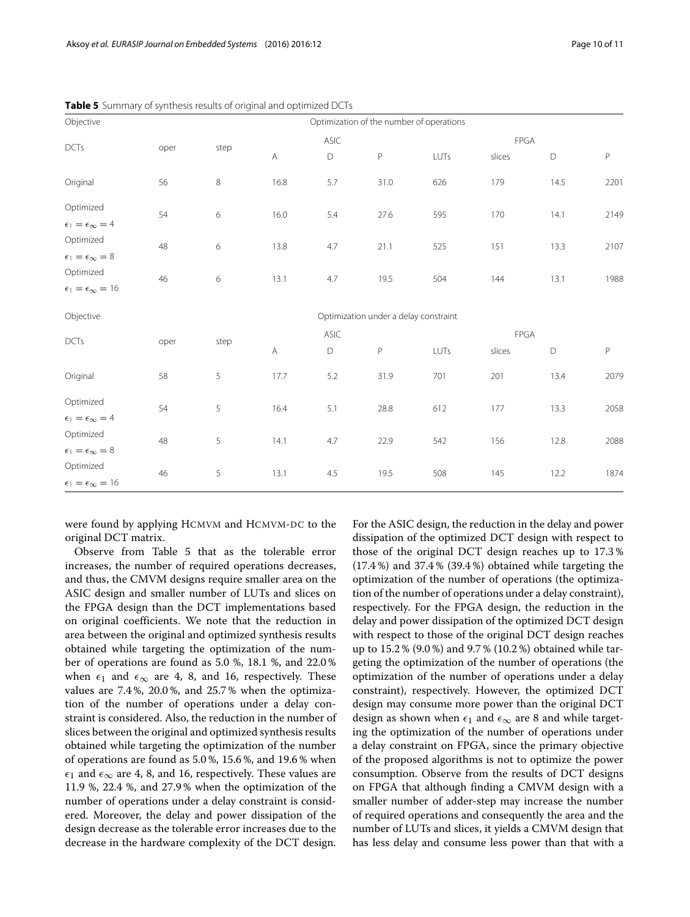| Objective                       |      |      |              |             |                                       | Optimization of the number of operations |        |      |             |
|---------------------------------|------|------|--------------|-------------|---------------------------------------|------------------------------------------|--------|------|-------------|
|                                 |      |      |              | ASIC        |                                       |                                          | FPGA   |      |             |
| DCTs                            | oper | step | $\mathsf{A}$ | $\mathsf D$ | P                                     | LUTs                                     | slices | D    | $\mathsf P$ |
| Original                        | 56   | 8    | 16.8         | 5.7         | 31.0                                  | 626                                      | 179    | 14.5 | 2201        |
| Optimized                       | 54   | 6    | 16.0         | 5.4         | 27.6                                  | 595                                      | 170    | 14.1 | 2149        |
| $\epsilon_1=\epsilon_\infty=4$  |      |      |              |             |                                       |                                          |        |      |             |
| Optimized                       | 48   | 6    | 13.8         | 4.7         | 21.1                                  | 525                                      | 151    | 13.3 | 2107        |
| $\epsilon_1=\epsilon_\infty=8$  |      |      |              |             |                                       |                                          |        |      |             |
| Optimized                       | 46   | 6    | 13.1         | 4.7         | 19.5                                  | 504                                      | 144    | 13.1 | 1988        |
| $\epsilon_1=\epsilon_\infty=16$ |      |      |              |             |                                       |                                          |        |      |             |
| Objective                       |      |      |              |             | Optimization under a delay constraint |                                          |        |      |             |
|                                 |      |      |              | <b>ASIC</b> |                                       |                                          | FPGA   |      |             |
| <b>DCTs</b>                     | oper | step | A            | $\mathsf D$ | P                                     | LUTs                                     | slices | D    | $\mathsf P$ |
| Original                        | 58   | 5    | 17.7         | 5.2         | 31.9                                  | 701                                      | 201    | 13.4 | 2079        |
| Optimized                       |      |      |              |             |                                       |                                          |        |      |             |
| $\epsilon_1=\epsilon_\infty=4$  | 54   | 5    | 16.4         | 5.1         | 28.8                                  | 612                                      | 177    | 13.3 | 2058        |
| Optimized                       | 48   | 5    | 14.1         | 4.7         | 22.9                                  | 542                                      | 156    | 12.8 | 2088        |
| $\epsilon_1=\epsilon_\infty=8$  |      |      |              |             |                                       |                                          |        |      |             |
| Optimized                       | 46   | 5    | 13.1         | 4.5         | 19.5                                  | 508                                      | 145    | 12.2 | 1874        |
| $\epsilon_1=\epsilon_\infty=16$ |      |      |              |             |                                       |                                          |        |      |             |

<span id="page-9-0"></span>**Table 5** Summary of synthesis results of original and optimized DCTs

were found by applying HCMVM and HCMVM-DC to the original DCT matrix.

Observe from Table [5](#page-9-0) that as the tolerable error increases, the number of required operations decreases, and thus, the CMVM designs require smaller area on the ASIC design and smaller number of LUTs and slices on the FPGA design than the DCT implementations based on original coefficients. We note that the reduction in area between the original and optimized synthesis results obtained while targeting the optimization of the number of operations are found as 5.0 %, 18.1 %, and 22.0 % when  $\epsilon_1$  and  $\epsilon_{\infty}$  are 4, 8, and 16, respectively. These values are 7.4 %, 20.0 %, and 25.7 % when the optimization of the number of operations under a delay constraint is considered. Also, the reduction in the number of slices between the original and optimized synthesis results obtained while targeting the optimization of the number of operations are found as 5.0 %, 15.6 %, and 19.6 % when  $\epsilon_1$  and  $\epsilon_\infty$  are 4, 8, and 16, respectively. These values are 11.9 %, 22.4 %, and 27.9 % when the optimization of the number of operations under a delay constraint is considered. Moreover, the delay and power dissipation of the design decrease as the tolerable error increases due to the decrease in the hardware complexity of the DCT design.

For the ASIC design, the reduction in the delay and power dissipation of the optimized DCT design with respect to those of the original DCT design reaches up to 17.3 % (17.4 %) and 37.4 % (39.4 %) obtained while targeting the optimization of the number of operations (the optimization of the number of operations under a delay constraint), respectively. For the FPGA design, the reduction in the delay and power dissipation of the optimized DCT design with respect to those of the original DCT design reaches up to 15.2 % (9.0 %) and 9.7 % (10.2 %) obtained while targeting the optimization of the number of operations (the optimization of the number of operations under a delay constraint), respectively. However, the optimized DCT design may consume more power than the original DCT design as shown when  $\epsilon_1$  and  $\epsilon_\infty$  are 8 and while targeting the optimization of the number of operations under a delay constraint on FPGA, since the primary objective of the proposed algorithms is not to optimize the power consumption. Observe from the results of DCT designs on FPGA that although finding a CMVM design with a smaller number of adder-step may increase the number of required operations and consequently the area and the number of LUTs and slices, it yields a CMVM design that has less delay and consume less power than that with a